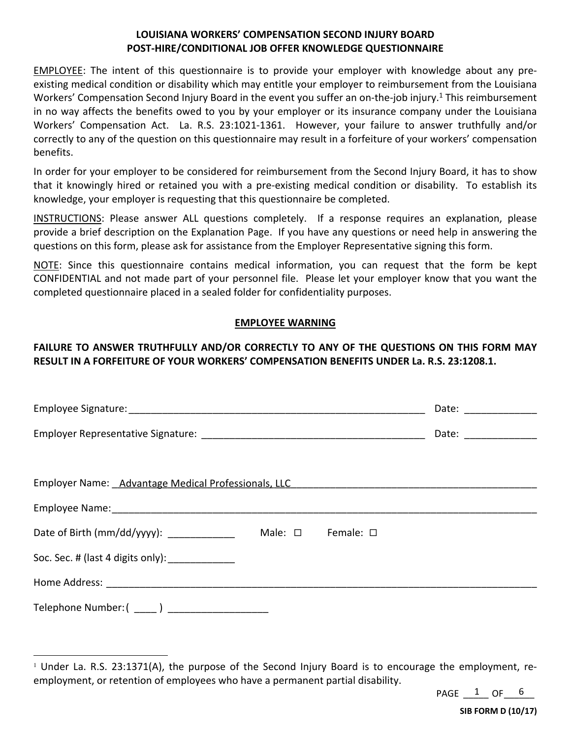## **LOUISIANA WORKERS' COMPENSATION SECOND INJURY BOARD POST‐HIRE/CONDITIONAL JOB OFFER KNOWLEDGE QUESTIONNAIRE**

EMPLOYEE: The intent of this questionnaire is to provide your employer with knowledge about any pre‐ existing medical condition or disability which may entitle your employer to reimbursement from the Louisiana Workers' Compensation Second Injury Board in the event you suffer an on-the-job injury.<sup>1</sup> This reimbursement in no way affects the benefits owed to you by your employer or its insurance company under the Louisiana Workers' Compensation Act. La. R.S. 23:1021-1361. However, your failure to answer truthfully and/or correctly to any of the question on this questionnaire may result in a forfeiture of your workers' compensation benefits.

In order for your employer to be considered for reimbursement from the Second Injury Board, it has to show that it knowingly hired or retained you with a pre-existing medical condition or disability. To establish its knowledge, your employer is requesting that this questionnaire be completed.

INSTRUCTIONS: Please answer ALL questions completely. If a response requires an explanation, please provide a brief description on the Explanation Page. If you have any questions or need help in answering the questions on this form, please ask for assistance from the Employer Representative signing this form.

NOTE: Since this questionnaire contains medical information, you can request that the form be kept CONFIDENTIAL and not made part of your personnel file. Please let your employer know that you want the completed questionnaire placed in a sealed folder for confidentiality purposes.

# **EMPLOYEE WARNING**

# **FAILURE TO ANSWER TRUTHFULLY AND/OR CORRECTLY TO ANY OF THE QUESTIONS ON THIS FORM MAY RESULT IN A FORFEITURE OF YOUR WORKERS' COMPENSATION BENEFITS UNDER La. R.S. 23:1208.1.**

|                                                     |                              | Date: ____________   |
|-----------------------------------------------------|------------------------------|----------------------|
|                                                     |                              | Date: ______________ |
|                                                     |                              |                      |
| Employer Name: Advantage Medical Professionals, LLC |                              |                      |
|                                                     |                              |                      |
| Date of Birth (mm/dd/yyyy): ______________          | Male: $\square$<br>Female: □ |                      |
| Soc. Sec. # (last 4 digits only): _____________     |                              |                      |
|                                                     |                              |                      |
| Telephone Number: ( _____ ) _____________________   |                              |                      |

 $\textsf{PAGE} \_\!\_1 \_\textsf{OF} \_\textsf{6}$ 

<sup>&</sup>lt;sup>1</sup> Under La. R.S. 23:1371(A), the purpose of the Second Injury Board is to encourage the employment, reemployment, or retention of employees who have a permanent partial disability.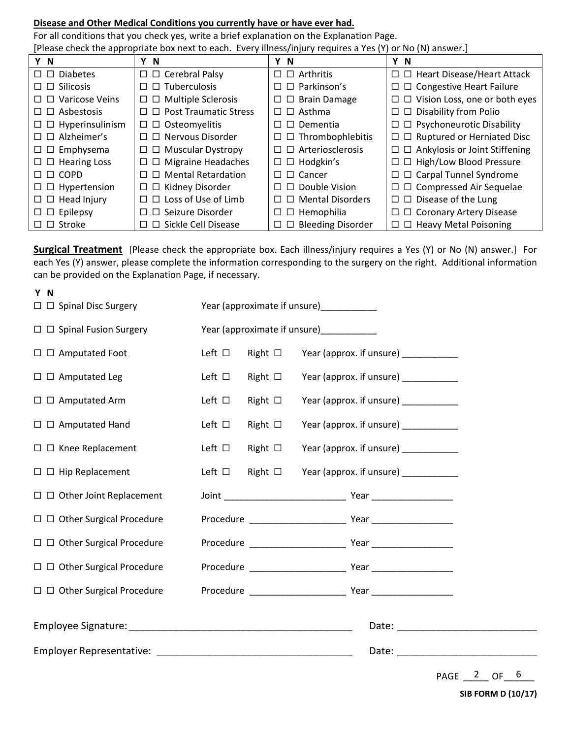### **Disease and Other Medical Conditions you currently have or have ever had.**

For all conditions that you check yes, write a brief explanation on the Explanation Page.

[Please check the appropriate box next to each. Every illness/injury requires a Yes (Y) or No (N) answer.]

| Y N                                 | Υ<br>-N                                  | Y<br><b>N</b>                   | Y N                                         |
|-------------------------------------|------------------------------------------|---------------------------------|---------------------------------------------|
| $\square$ $\square$ Diabetes        | $\Box$ $\Box$ Cerebral Palsy             | $\Box$ $\Box$ Arthritis         | $\Box$ Heart Disease/Heart Attack           |
| $\Box$ $\Box$ Silicosis             | Tuberculosis<br>$\Box$<br>П              | $\Box$ $\Box$ Parkinson's       | $\Box$ $\Box$ Congestive Heart Failure      |
| $\Box$ $\Box$ Varicose Veins        | $\Box$ Multiple Sclerosis<br>□           | $\Box$ $\Box$ Brain Damage      | $\Box$ $\Box$ Vision Loss, one or both eyes |
| $\square$ $\square$ Asbestosis      | $\Box$ Post Traumatic Stress<br>П        | $\Box$ $\Box$ Asthma            | $\Box$ $\Box$ Disability from Polio         |
| $\square$ $\square$ Hyperinsulinism | $\Box$ Osteomyelitis                     | $\Box$ $\Box$ Dementia          | $\Box$ Psychoneurotic Disability            |
| $\Box$ $\Box$ Alzheimer's           | $\Box$ Nervous Disorder<br>П             | $\Box$ $\Box$ Thrombophlebitis  | $\Box$ $\Box$ Ruptured or Herniated Disc    |
| $\Box$ $\Box$ Emphysema             | $\Box$ $\Box$ Muscular Dystropy          | $\Box$ $\Box$ Arteriosclerosis  | $\Box$ $\Box$ Ankylosis or Joint Stiffening |
| $\square$ $\square$ Hearing Loss    | <b>Migraine Headaches</b><br>$\Box$<br>□ | $\square$ $\square$ Hodgkin's   | $\Box$ $\Box$ High/Low Blood Pressure       |
| $\square$ $\square$ COPD            | $\Box$ $\Box$ Mental Retardation         | $\square$ $\square$ Cancer      | $\Box$ $\Box$ Carpal Tunnel Syndrome        |
| $\Box$ $\Box$ Hypertension          | Kidney Disorder<br>$\Box$<br>□           | $\Box$ $\Box$ Double Vision     | $\Box$ $\Box$ Compressed Air Sequelae       |
| $\Box$ $\Box$ Head Injury           | $\Box$ Loss of Use of Limb<br>П          | $\Box$ Mental Disorders         | $\Box$ $\Box$ Disease of the Lung           |
| $\Box$ $\Box$ Epilepsy              | $\Box$ Seizure Disorder<br>П             | $\Box$ $\Box$ Hemophilia        | □ □ Coronary Artery Disease                 |
| $\Box$ $\Box$ Stroke                | □ Sickle Cell Disease                    | $\Box$ $\Box$ Bleeding Disorder | $\Box$ $\Box$ Heavy Metal Poisoning         |

**Surgical Treatment** [Please check the appropriate box. Each illness/injury requires a Yes (Y) or No (N) answer.] For each Yes (Y) answer, please complete the information corresponding to the surgery on the right. Additional information can be provided on the Explanation Page, if necessary.

| Y N | $\Box$ $\Box$ Spinal Disc Surgery      |                |                 | Year (approximate if unsure)___________ |                                             |
|-----|----------------------------------------|----------------|-----------------|-----------------------------------------|---------------------------------------------|
|     | $\Box$ $\Box$ Spinal Fusion Surgery    |                |                 | Year (approximate if unsure)___________ |                                             |
|     | $\Box$ $\Box$ Amputated Foot           | Left $\square$ | Right $\Box$    |                                         | Year (approx. if unsure) ____________       |
|     | $\Box$ $\Box$ Amputated Leg            | Left $\square$ | Right $\Box$    |                                         | Year (approx. if unsure) ____________       |
|     | $\square$ $\square$ Amputated Arm      | Left $\square$ | Right $\square$ |                                         | Year (approx. if unsure) ___________        |
|     | $\Box$ $\Box$ Amputated Hand           | Left $\square$ | Right $\Box$    |                                         | Year (approx. if unsure) ___________        |
|     | $\Box$ $\Box$ Knee Replacement         | Left $\square$ | Right $\square$ |                                         | Year (approx. if unsure) ____________       |
|     | $\Box$ $\Box$ Hip Replacement          | Left $\square$ |                 |                                         | Right □ Year (approx. if unsure) __________ |
|     | $\Box$ $\Box$ Other Joint Replacement  |                |                 |                                         |                                             |
|     | $\Box$ $\Box$ Other Surgical Procedure |                |                 |                                         |                                             |
|     | $\Box$ $\Box$ Other Surgical Procedure |                |                 |                                         |                                             |
|     | $\Box$ $\Box$ Other Surgical Procedure |                |                 |                                         |                                             |
|     | $\Box$ $\Box$ Other Surgical Procedure |                |                 |                                         |                                             |
|     |                                        |                |                 |                                         |                                             |
|     |                                        |                |                 |                                         |                                             |

 $PAGE \_ 2 \_ OF \_ 6 \_$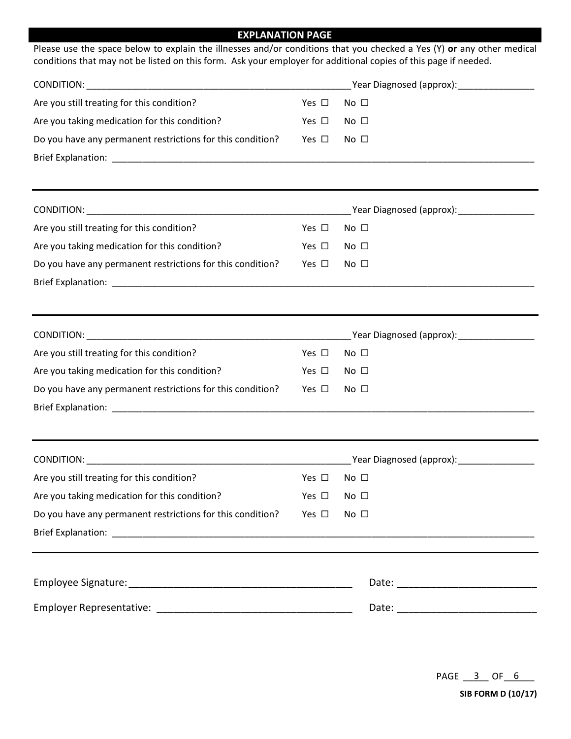# **EXPLANATION PAGE**

Please use the space below to explain the illnesses and/or conditions that you checked a Yes (Y) **or** any other medical conditions that may not be listed on this form. Ask your employer for additional copies of this page if needed.

|                                                                                                                                                                                                                                |               | Year Diagnosed (approx): \\end{\math{\math{\math{\math{\math{\math{\math{\math{\math{\math{\math{\math{\math{\math{\math{\math{\math{\math{\math{\math{\math{\math{\math{\math{\math{\math{\math{\math{\math{\math{\math{\math |
|--------------------------------------------------------------------------------------------------------------------------------------------------------------------------------------------------------------------------------|---------------|--------------------------------------------------------------------------------------------------------------------------------------------------------------------------------------------------------------------------------|
| Are you still treating for this condition?                                                                                                                                                                                     | Yes $\Box$    | No $\square$                                                                                                                                                                                                                   |
| Are you taking medication for this condition?                                                                                                                                                                                  | Yes $\Box$    | No <sub>1</sub>                                                                                                                                                                                                                |
| Do you have any permanent restrictions for this condition?                                                                                                                                                                     | Yes $\Box$    | No <sub>1</sub>                                                                                                                                                                                                                |
|                                                                                                                                                                                                                                |               |                                                                                                                                                                                                                                |
|                                                                                                                                                                                                                                |               |                                                                                                                                                                                                                                |
|                                                                                                                                                                                                                                |               | _Year Diagnosed (approx): __________________                                                                                                                                                                                   |
| Are you still treating for this condition?                                                                                                                                                                                     | Yes $\square$ | No $\square$                                                                                                                                                                                                                   |
| Are you taking medication for this condition?                                                                                                                                                                                  | Yes $\Box$    | No <sub>1</sub>                                                                                                                                                                                                                |
| Do you have any permanent restrictions for this condition?                                                                                                                                                                     | Yes $\Box$    | No <sub>1</sub>                                                                                                                                                                                                                |
|                                                                                                                                                                                                                                |               |                                                                                                                                                                                                                                |
|                                                                                                                                                                                                                                |               |                                                                                                                                                                                                                                |
|                                                                                                                                                                                                                                |               |                                                                                                                                                                                                                                |
| Are you still treating for this condition?                                                                                                                                                                                     | Yes $\Box$    | $No$ $\square$                                                                                                                                                                                                                 |
| Are you taking medication for this condition?                                                                                                                                                                                  | Yes $\Box$    | No <sub>1</sub>                                                                                                                                                                                                                |
| Do you have any permanent restrictions for this condition?                                                                                                                                                                     | Yes $\Box$    | No <sub>1</sub>                                                                                                                                                                                                                |
|                                                                                                                                                                                                                                |               |                                                                                                                                                                                                                                |
|                                                                                                                                                                                                                                |               |                                                                                                                                                                                                                                |
| CONDITION: THE PROPERTY OF STATE OF A SERVICE SERVICE OF A SERVICE SERVICE OF A SERVICE OF A SERVICE OF A SERVICE OF A SERVICE OF A SERVICE OF A SERVICE OF A SERVICE OF A SERVICE OF A SERVICE OF A SERVICE OF A SERVICE OF A |               |                                                                                                                                                                                                                                |
| Are you still treating for this condition?                                                                                                                                                                                     | Yes $\Box$    | No <sub>1</sub>                                                                                                                                                                                                                |
| Are you taking medication for this condition?                                                                                                                                                                                  | Yes $\square$ | No $\square$                                                                                                                                                                                                                   |
| Do you have any permanent restrictions for this condition?                                                                                                                                                                     | Yes $\square$ | No $\square$                                                                                                                                                                                                                   |
|                                                                                                                                                                                                                                |               |                                                                                                                                                                                                                                |
|                                                                                                                                                                                                                                |               |                                                                                                                                                                                                                                |
|                                                                                                                                                                                                                                |               |                                                                                                                                                                                                                                |
|                                                                                                                                                                                                                                |               |                                                                                                                                                                                                                                |

 $\mathsf{PAGE} \_\_3 \_\mathsf{OF} \_\mathsf{6} \_\_$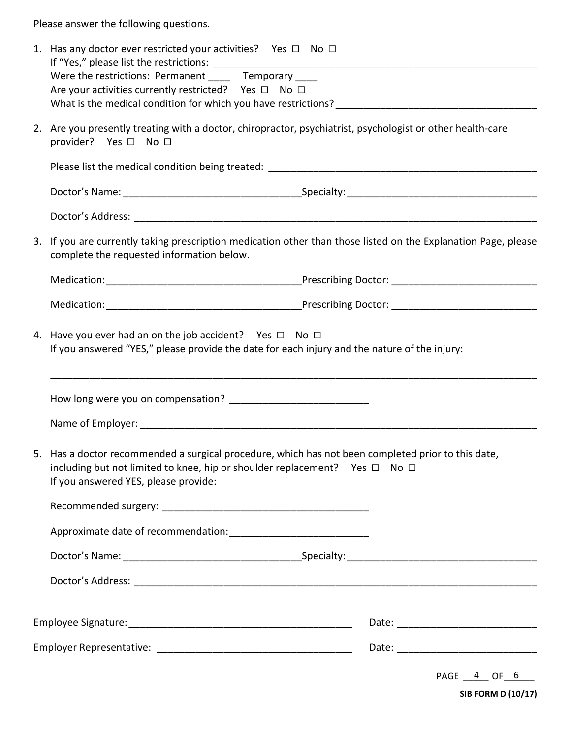Please answer the following questions.

|  | 1. Has any doctor ever restricted your activities? Yes $\Box$ No $\Box$<br>Were the restrictions: Permanent _____ Temporary ____<br>Are your activities currently restricted? Yes □ No □                                           |                                                                                                            |  |  |  |
|--|------------------------------------------------------------------------------------------------------------------------------------------------------------------------------------------------------------------------------------|------------------------------------------------------------------------------------------------------------|--|--|--|
|  | provider? Yes □ No □                                                                                                                                                                                                               | 2. Are you presently treating with a doctor, chiropractor, psychiatrist, psychologist or other health-care |  |  |  |
|  |                                                                                                                                                                                                                                    |                                                                                                            |  |  |  |
|  |                                                                                                                                                                                                                                    |                                                                                                            |  |  |  |
|  |                                                                                                                                                                                                                                    |                                                                                                            |  |  |  |
|  | 3. If you are currently taking prescription medication other than those listed on the Explanation Page, please<br>complete the requested information below.                                                                        |                                                                                                            |  |  |  |
|  |                                                                                                                                                                                                                                    |                                                                                                            |  |  |  |
|  |                                                                                                                                                                                                                                    |                                                                                                            |  |  |  |
|  | 4. Have you ever had an on the job accident? Yes $\Box$ No $\Box$                                                                                                                                                                  | If you answered "YES," please provide the date for each injury and the nature of the injury:               |  |  |  |
|  |                                                                                                                                                                                                                                    |                                                                                                            |  |  |  |
|  |                                                                                                                                                                                                                                    |                                                                                                            |  |  |  |
|  | 5. Has a doctor recommended a surgical procedure, which has not been completed prior to this date,<br>including but not limited to knee, hip or shoulder replacement? Yes $\Box$ No $\Box$<br>If you answered YES, please provide: |                                                                                                            |  |  |  |
|  |                                                                                                                                                                                                                                    |                                                                                                            |  |  |  |
|  |                                                                                                                                                                                                                                    |                                                                                                            |  |  |  |
|  |                                                                                                                                                                                                                                    |                                                                                                            |  |  |  |
|  |                                                                                                                                                                                                                                    |                                                                                                            |  |  |  |
|  |                                                                                                                                                                                                                                    |                                                                                                            |  |  |  |
|  |                                                                                                                                                                                                                                    |                                                                                                            |  |  |  |
|  |                                                                                                                                                                                                                                    | PAGE 4 OF 6                                                                                                |  |  |  |

| <b>SIB FORM D (10/17)</b> |  |
|---------------------------|--|
|                           |  |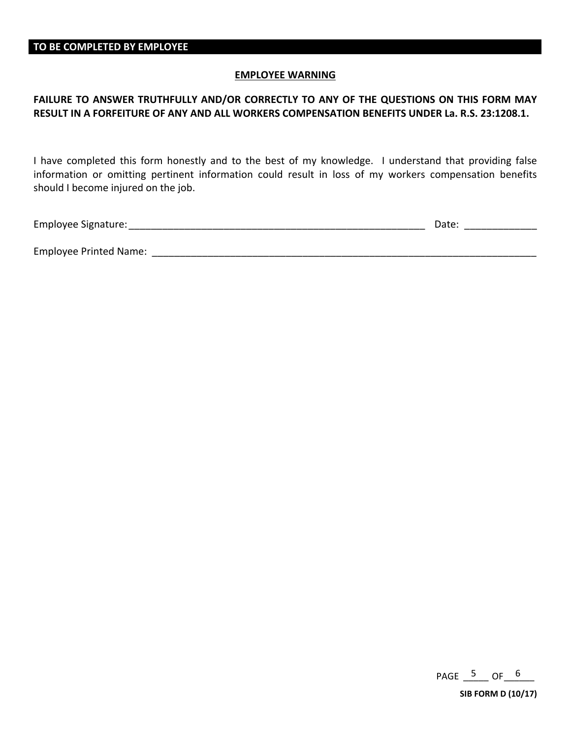#### **EMPLOYEE WARNING**

# **FAILURE TO ANSWER TRUTHFULLY AND/OR CORRECTLY TO ANY OF THE QUESTIONS ON THIS FORM MAY RESULT IN A FORFEITURE OF ANY AND ALL WORKERS COMPENSATION BENEFITS UNDER La. R.S. 23:1208.1.**

I have completed this form honestly and to the best of my knowledge. I understand that providing false information or omitting pertinent information could result in loss of my workers compensation benefits should I become injured on the job.

Employee Signature:\_\_\_\_\_\_\_\_\_\_\_\_\_\_\_\_\_\_\_\_\_\_\_\_\_\_\_\_\_\_\_\_\_\_\_\_\_\_\_\_\_\_\_\_\_\_\_\_\_\_\_\_\_ Date: \_\_\_\_\_\_\_\_\_\_\_\_\_

Employee Printed Name: \_\_\_\_\_\_\_\_\_\_\_\_\_\_\_\_\_\_\_\_\_\_\_\_\_\_\_\_\_\_\_\_\_\_\_\_\_\_\_\_\_\_\_\_\_\_\_\_\_\_\_\_\_\_\_\_\_\_\_\_\_\_\_\_\_\_\_\_\_

PAGE  $\frac{5}{2}$  OF  $\frac{6}{2}$